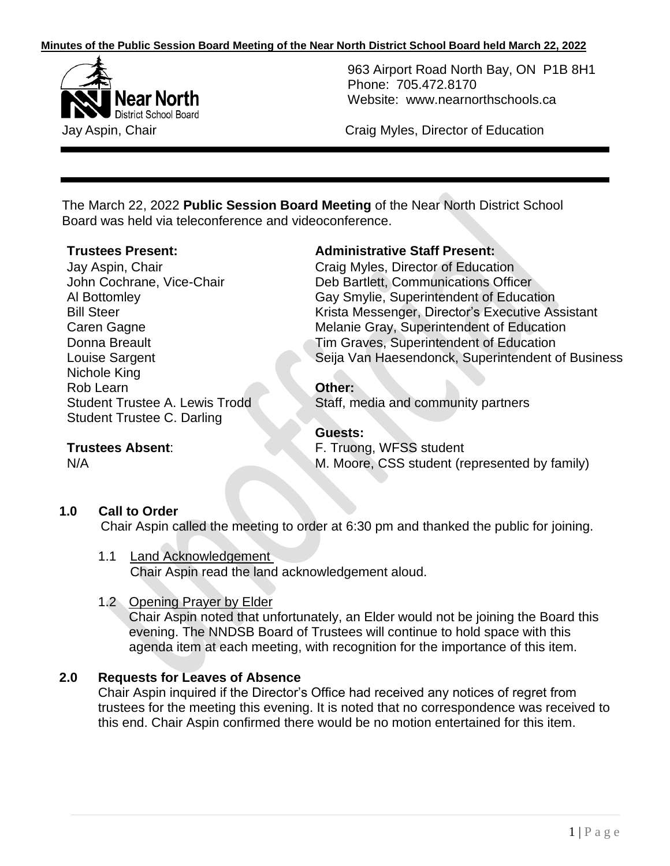

963 Airport Road North Bay, ON P1B 8H1 Phone: 705.472.8170 Website: [www.nearnorthschools.ca](http://www.nearnorthschools.ca/)

Jay Aspin, Chair Craig Myles, Director of Education

The March 22, 2022 **Public Session Board Meeting** of the Near North District School Board was held via teleconference and videoconference.

Jay Aspin, Chair John Cochrane, Vice-Chair Al Bottomley Bill Steer Caren Gagne Donna Breault Louise Sargent Nichole King Rob Learn Student Trustee A. Lewis Trodd Student Trustee C. Darling

# **Trustees Present: Administrative Staff Present:**

Craig Myles, Director of Education Deb Bartlett, Communications Officer Gay Smylie, Superintendent of Education Krista Messenger, Director's Executive Assistant Melanie Gray, Superintendent of Education Tim Graves, Superintendent of Education Seija Van Haesendonck, Superintendent of Business

## **Other:**

Staff, media and community partners

## **Guests:**

F. Truong, WFSS student

M. Moore, CSS student (represented by family)

## **1.0 Call to Order**

**Trustees Absent**:

N/A

Chair Aspin called the meeting to order at 6:30 pm and thanked the public for joining.

#### 1.1 Land Acknowledgement

Chair Aspin read the land acknowledgement aloud.

## 1.2 Opening Prayer by Elder

Chair Aspin noted that unfortunately, an Elder would not be joining the Board this evening. The NNDSB Board of Trustees will continue to hold space with this agenda item at each meeting, with recognition for the importance of this item.

## **2.0 Requests for Leaves of Absence**

Chair Aspin inquired if the Director's Office had received any notices of regret from trustees for the meeting this evening. It is noted that no correspondence was received to this end. Chair Aspin confirmed there would be no motion entertained for this item.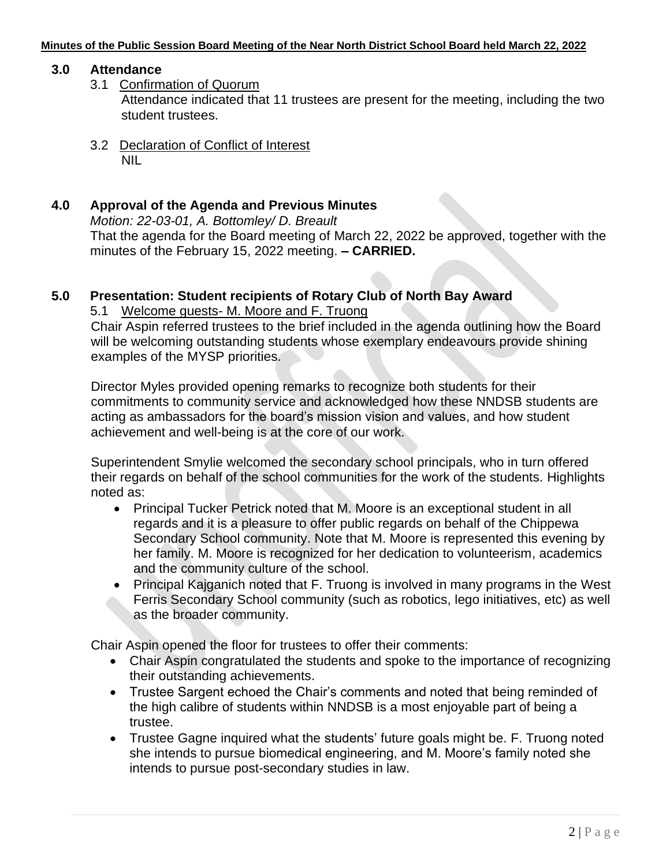## **3.0 Attendance**

- 3.1 Confirmation of Quorum Attendance indicated that 11 trustees are present for the meeting, including the two student trustees.
- 3.2 Declaration of Conflict of Interest NIL

## **4.0 Approval of the Agenda and Previous Minutes**

*Motion: 22-03-01, A. Bottomley/ D. Breault* That the agenda for the Board meeting of March 22, 2022 be approved, together with the minutes of the February 15, 2022 meeting. **– CARRIED.**

# **5.0 Presentation: Student recipients of Rotary Club of North Bay Award**

5.1 Welcome guests- M. Moore and F. Truong

Chair Aspin referred trustees to the brief included in the agenda outlining how the Board will be welcoming outstanding students whose exemplary endeavours provide shining examples of the MYSP priorities.

Director Myles provided opening remarks to recognize both students for their commitments to community service and acknowledged how these NNDSB students are acting as ambassadors for the board's mission vision and values, and how student achievement and well-being is at the core of our work.

Superintendent Smylie welcomed the secondary school principals, who in turn offered their regards on behalf of the school communities for the work of the students. Highlights noted as:

- Principal Tucker Petrick noted that M. Moore is an exceptional student in all regards and it is a pleasure to offer public regards on behalf of the Chippewa Secondary School community. Note that M. Moore is represented this evening by her family. M. Moore is recognized for her dedication to volunteerism, academics and the community culture of the school.
- Principal Kajganich noted that F. Truong is involved in many programs in the West Ferris Secondary School community (such as robotics, lego initiatives, etc) as well as the broader community.

Chair Aspin opened the floor for trustees to offer their comments:

- Chair Aspin congratulated the students and spoke to the importance of recognizing their outstanding achievements.
- Trustee Sargent echoed the Chair's comments and noted that being reminded of the high calibre of students within NNDSB is a most enjoyable part of being a trustee.
- Trustee Gagne inquired what the students' future goals might be. F. Truong noted she intends to pursue biomedical engineering, and M. Moore's family noted she intends to pursue post-secondary studies in law.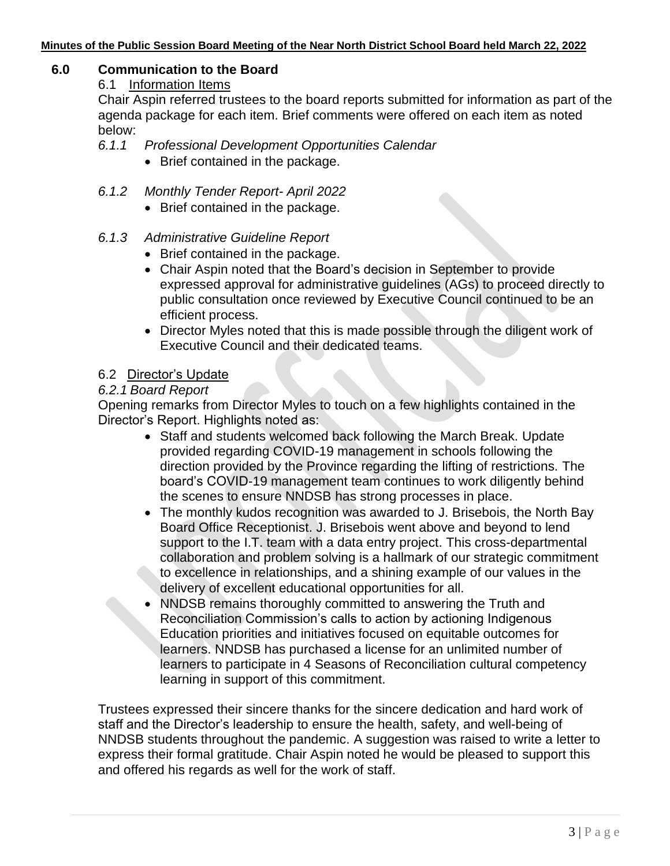## **6.0 Communication to the Board**

#### 6.1 Information Items

Chair Aspin referred trustees to the board reports submitted for information as part of the agenda package for each item. Brief comments were offered on each item as noted below:

## *6.1.1 Professional Development Opportunities Calendar*

- Brief contained in the package.
- *6.1.2 Monthly Tender Report- April 2022*
	- Brief contained in the package.

## *6.1.3 Administrative Guideline Report*

- Brief contained in the package.
- Chair Aspin noted that the Board's decision in September to provide expressed approval for administrative guidelines (AGs) to proceed directly to public consultation once reviewed by Executive Council continued to be an efficient process.
- Director Myles noted that this is made possible through the diligent work of Executive Council and their dedicated teams.

## 6.2 Director's Update

## *6.2.1 Board Report*

Opening remarks from Director Myles to touch on a few highlights contained in the Director's Report. Highlights noted as:

- Staff and students welcomed back following the March Break. Update provided regarding COVID-19 management in schools following the direction provided by the Province regarding the lifting of restrictions. The board's COVID-19 management team continues to work diligently behind the scenes to ensure NNDSB has strong processes in place.
- The monthly kudos recognition was awarded to J. Brisebois, the North Bay Board Office Receptionist. J. Brisebois went above and beyond to lend support to the I.T. team with a data entry project. This cross-departmental collaboration and problem solving is a hallmark of our strategic commitment to excellence in relationships, and a shining example of our values in the delivery of excellent educational opportunities for all.
- NNDSB remains thoroughly committed to answering the Truth and Reconciliation Commission's calls to action by actioning Indigenous Education priorities and initiatives focused on equitable outcomes for learners. NNDSB has purchased a license for an unlimited number of learners to participate in 4 Seasons of Reconciliation cultural competency learning in support of this commitment.

Trustees expressed their sincere thanks for the sincere dedication and hard work of staff and the Director's leadership to ensure the health, safety, and well-being of NNDSB students throughout the pandemic. A suggestion was raised to write a letter to express their formal gratitude. Chair Aspin noted he would be pleased to support this and offered his regards as well for the work of staff.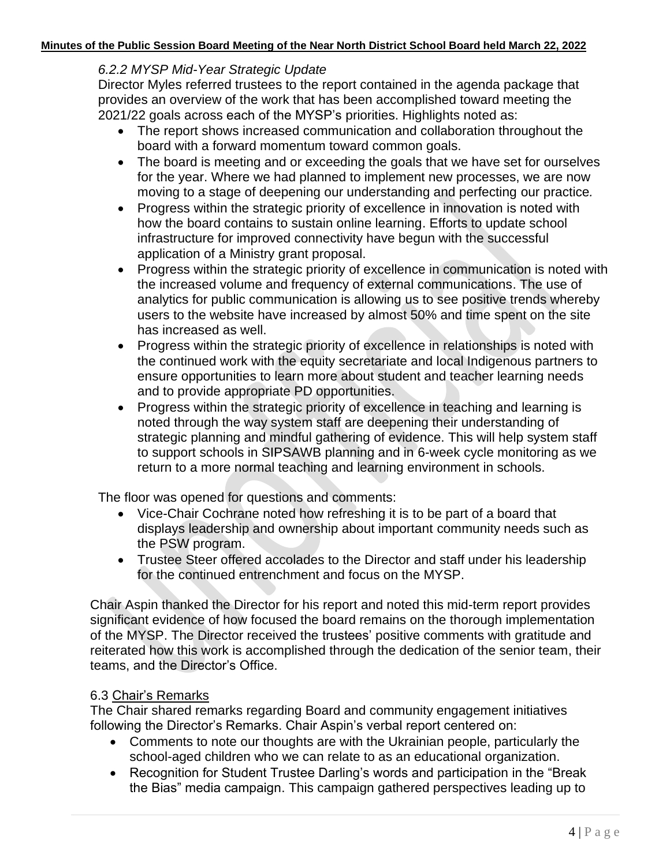## *6.2.2 MYSP Mid-Year Strategic Update*

Director Myles referred trustees to the report contained in the agenda package that provides an overview of the work that has been accomplished toward meeting the 2021/22 goals across each of the MYSP's priorities. Highlights noted as:

- The report shows increased communication and collaboration throughout the board with a forward momentum toward common goals.
- The board is meeting and or exceeding the goals that we have set for ourselves for the year. Where we had planned to implement new processes, we are now moving to a stage of deepening our understanding and perfecting our practice*.*
- Progress within the strategic priority of excellence in innovation is noted with how the board contains to sustain online learning. Efforts to update school infrastructure for improved connectivity have begun with the successful application of a Ministry grant proposal.
- Progress within the strategic priority of excellence in communication is noted with the increased volume and frequency of external communications. The use of analytics for public communication is allowing us to see positive trends whereby users to the website have increased by almost 50% and time spent on the site has increased as well.
- Progress within the strategic priority of excellence in relationships is noted with the continued work with the equity secretariate and local Indigenous partners to ensure opportunities to learn more about student and teacher learning needs and to provide appropriate PD opportunities.
- Progress within the strategic priority of excellence in teaching and learning is noted through the way system staff are deepening their understanding of strategic planning and mindful gathering of evidence. This will help system staff to support schools in SIPSAWB planning and in 6-week cycle monitoring as we return to a more normal teaching and learning environment in schools.

The floor was opened for questions and comments:

- Vice-Chair Cochrane noted how refreshing it is to be part of a board that displays leadership and ownership about important community needs such as the PSW program.
- Trustee Steer offered accolades to the Director and staff under his leadership for the continued entrenchment and focus on the MYSP.

Chair Aspin thanked the Director for his report and noted this mid-term report provides significant evidence of how focused the board remains on the thorough implementation of the MYSP. The Director received the trustees' positive comments with gratitude and reiterated how this work is accomplished through the dedication of the senior team, their teams, and the Director's Office.

## 6.3 Chair's Remarks

The Chair shared remarks regarding Board and community engagement initiatives following the Director's Remarks. Chair Aspin's verbal report centered on:

- Comments to note our thoughts are with the Ukrainian people, particularly the school-aged children who we can relate to as an educational organization.
- Recognition for Student Trustee Darling's words and participation in the "Break the Bias" media campaign. This campaign gathered perspectives leading up to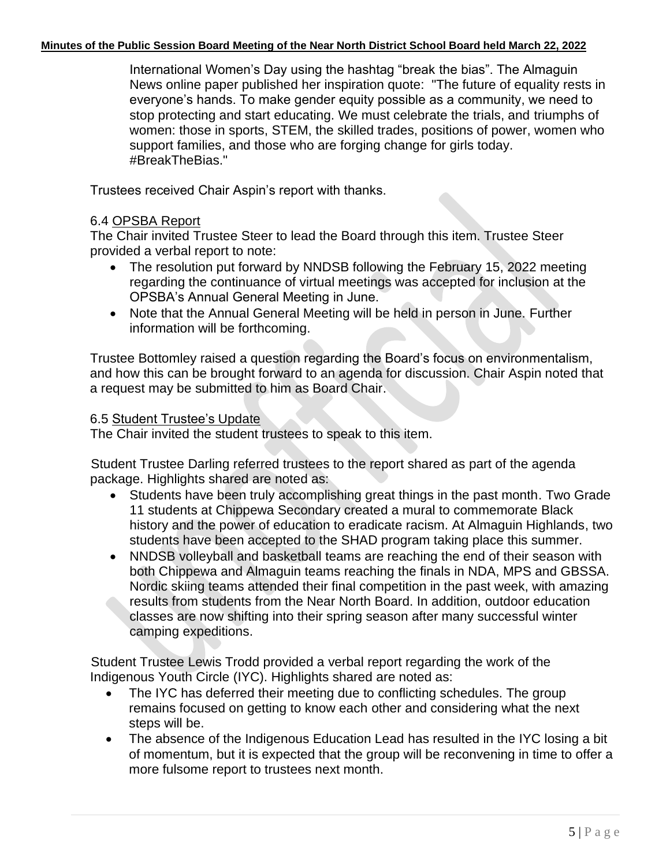International Women's Day using the hashtag "break the bias". The Almaguin News online paper published her inspiration quote: "The future of equality rests in everyone's hands. To make gender equity possible as a community, we need to stop protecting and start educating. We must celebrate the trials, and triumphs of women: those in sports, STEM, the skilled trades, positions of power, women who support families, and those who are forging change for girls today. #BreakTheBias."

Trustees received Chair Aspin's report with thanks.

## 6.4 OPSBA Report

The Chair invited Trustee Steer to lead the Board through this item. Trustee Steer provided a verbal report to note:

- The resolution put forward by NNDSB following the February 15, 2022 meeting regarding the continuance of virtual meetings was accepted for inclusion at the OPSBA's Annual General Meeting in June.
- Note that the Annual General Meeting will be held in person in June. Further information will be forthcoming.

Trustee Bottomley raised a question regarding the Board's focus on environmentalism, and how this can be brought forward to an agenda for discussion. Chair Aspin noted that a request may be submitted to him as Board Chair.

## 6.5 Student Trustee's Update

The Chair invited the student trustees to speak to this item.

Student Trustee Darling referred trustees to the report shared as part of the agenda package. Highlights shared are noted as:

- Students have been truly accomplishing great things in the past month. Two Grade 11 students at Chippewa Secondary created a mural to commemorate Black history and the power of education to eradicate racism. At Almaguin Highlands, two students have been accepted to the SHAD program taking place this summer.
- NNDSB volleyball and basketball teams are reaching the end of their season with both Chippewa and Almaguin teams reaching the finals in NDA, MPS and GBSSA. Nordic skiing teams attended their final competition in the past week, with amazing results from students from the Near North Board. In addition, outdoor education classes are now shifting into their spring season after many successful winter camping expeditions.

Student Trustee Lewis Trodd provided a verbal report regarding the work of the Indigenous Youth Circle (IYC). Highlights shared are noted as:

- The IYC has deferred their meeting due to conflicting schedules. The group remains focused on getting to know each other and considering what the next steps will be.
- The absence of the Indigenous Education Lead has resulted in the IYC losing a bit of momentum, but it is expected that the group will be reconvening in time to offer a more fulsome report to trustees next month.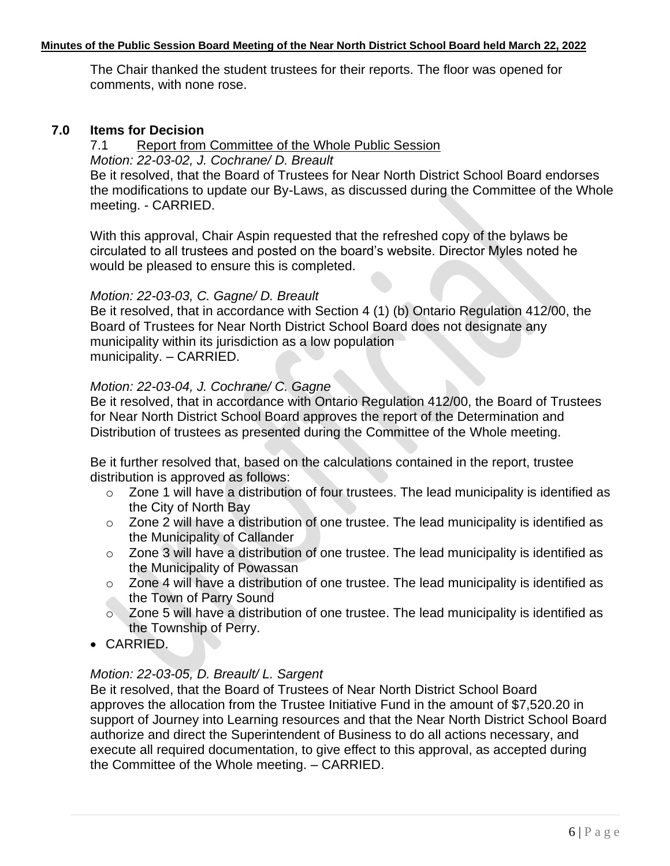The Chair thanked the student trustees for their reports. The floor was opened for comments, with none rose.

## **7.0 Items for Decision**

### 7.1 Report from Committee of the Whole Public Session

*Motion: 22-03-02, J. Cochrane/ D. Breault* 

Be it resolved, that the Board of Trustees for Near North District School Board endorses the modifications to update our By-Laws, as discussed during the Committee of the Whole meeting. - CARRIED.

With this approval, Chair Aspin requested that the refreshed copy of the bylaws be circulated to all trustees and posted on the board's website. Director Myles noted he would be pleased to ensure this is completed.

#### *Motion: 22-03-03, C. Gagne/ D. Breault*

Be it resolved, that in accordance with Section 4 (1) (b) Ontario Regulation 412/00, the Board of Trustees for Near North District School Board does not designate any municipality within its jurisdiction as a low population municipality. – CARRIED.

## *Motion: 22-03-04, J. Cochrane/ C. Gagne*

Be it resolved, that in accordance with Ontario Regulation 412/00, the Board of Trustees for Near North District School Board approves the report of the Determination and Distribution of trustees as presented during the Committee of the Whole meeting.

Be it further resolved that, based on the calculations contained in the report, trustee distribution is approved as follows:

- o Zone 1 will have a distribution of four trustees. The lead municipality is identified as the City of North Bay
- o Zone 2 will have a distribution of one trustee. The lead municipality is identified as the Municipality of Callander
- o Zone 3 will have a distribution of one trustee. The lead municipality is identified as the Municipality of Powassan
- o Zone 4 will have a distribution of one trustee. The lead municipality is identified as the Town of Parry Sound
- o Zone 5 will have a distribution of one trustee. The lead municipality is identified as the Township of Perry.
- CARRIED.

## *Motion: 22-03-05, D. Breault/ L. Sargent*

Be it resolved, that the Board of Trustees of Near North District School Board approves the allocation from the Trustee Initiative Fund in the amount of \$7,520.20 in support of Journey into Learning resources and that the Near North District School Board authorize and direct the Superintendent of Business to do all actions necessary, and execute all required documentation, to give effect to this approval, as accepted during the Committee of the Whole meeting. – CARRIED.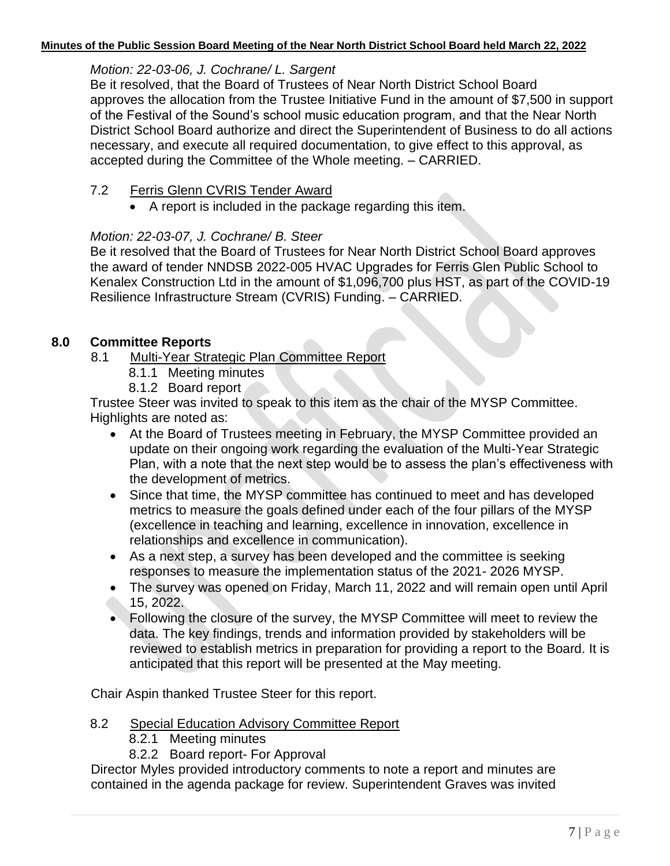# *Motion: 22-03-06, J. Cochrane/ L. Sargent*

Be it resolved, that the Board of Trustees of Near North District School Board approves the allocation from the Trustee Initiative Fund in the amount of \$7,500 in support of the Festival of the Sound's school music education program, and that the Near North District School Board authorize and direct the Superintendent of Business to do all actions necessary, and execute all required documentation, to give effect to this approval, as accepted during the Committee of the Whole meeting. – CARRIED.

# 7.2 Ferris Glenn CVRIS Tender Award

• A report is included in the package regarding this item.

# *Motion: 22-03-07, J. Cochrane/ B. Steer*

Be it resolved that the Board of Trustees for Near North District School Board approves the award of tender NNDSB 2022-005 HVAC Upgrades for Ferris Glen Public School to Kenalex Construction Ltd in the amount of \$1,096,700 plus HST, as part of the COVID-19 Resilience Infrastructure Stream (CVRIS) Funding. – CARRIED.

# **8.0 Committee Reports**

8.1 Multi-Year Strategic Plan Committee Report

- 8.1.1 Meeting minutes
- 8.1.2 Board report

Trustee Steer was invited to speak to this item as the chair of the MYSP Committee. Highlights are noted as:

- At the Board of Trustees meeting in February, the MYSP Committee provided an update on their ongoing work regarding the evaluation of the Multi-Year Strategic Plan, with a note that the next step would be to assess the plan's effectiveness with the development of metrics.
- Since that time, the MYSP committee has continued to meet and has developed metrics to measure the goals defined under each of the four pillars of the MYSP (excellence in teaching and learning, excellence in innovation, excellence in relationships and excellence in communication).
- As a next step, a survey has been developed and the committee is seeking responses to measure the implementation status of the 2021- 2026 MYSP.
- The survey was opened on Friday, March 11, 2022 and will remain open until April 15, 2022.
- Following the closure of the survey, the MYSP Committee will meet to review the data. The key findings, trends and information provided by stakeholders will be reviewed to establish metrics in preparation for providing a report to the Board. It is anticipated that this report will be presented at the May meeting.

Chair Aspin thanked Trustee Steer for this report.

- 8.2 Special Education Advisory Committee Report
	- 8.2.1 Meeting minutes
	- 8.2.2 Board report- For Approval

Director Myles provided introductory comments to note a report and minutes are contained in the agenda package for review. Superintendent Graves was invited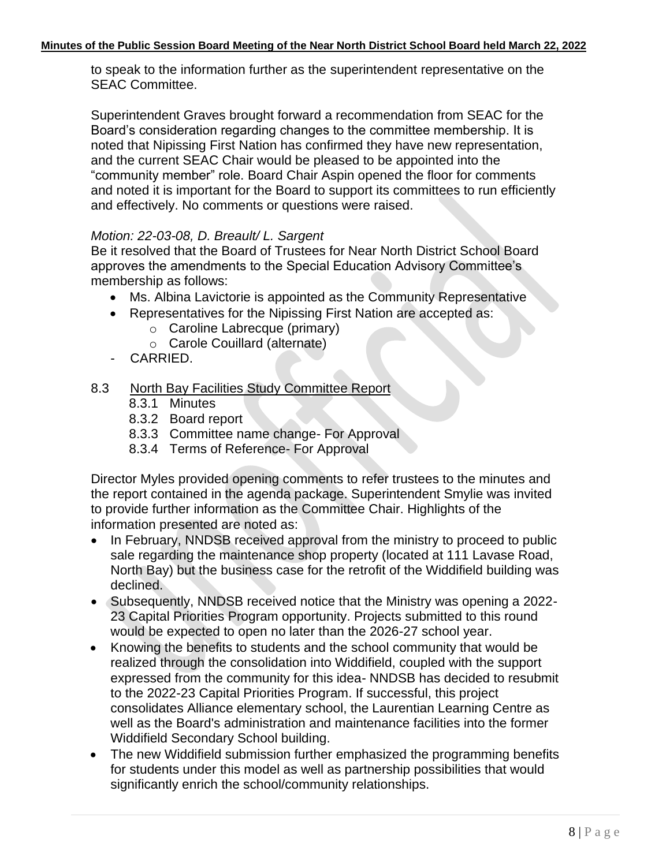to speak to the information further as the superintendent representative on the SEAC Committee.

Superintendent Graves brought forward a recommendation from SEAC for the Board's consideration regarding changes to the committee membership. It is noted that Nipissing First Nation has confirmed they have new representation, and the current SEAC Chair would be pleased to be appointed into the "community member" role. Board Chair Aspin opened the floor for comments and noted it is important for the Board to support its committees to run efficiently and effectively. No comments or questions were raised.

## *Motion: 22-03-08, D. Breault/ L. Sargent*

Be it resolved that the Board of Trustees for Near North District School Board approves the amendments to the Special Education Advisory Committee's membership as follows:

- Ms. Albina Lavictorie is appointed as the Community Representative
- Representatives for the Nipissing First Nation are accepted as:
	- o Caroline Labrecque (primary)
	- o Carole Couillard (alternate)
- CARRIED.
- 8.3 North Bay Facilities Study Committee Report
	- 8.3.1 Minutes
	- 8.3.2 Board report
	- 8.3.3 Committee name change- For Approval
	- 8.3.4 Terms of Reference- For Approval

Director Myles provided opening comments to refer trustees to the minutes and the report contained in the agenda package. Superintendent Smylie was invited to provide further information as the Committee Chair. Highlights of the information presented are noted as:

- In February, NNDSB received approval from the ministry to proceed to public sale regarding the maintenance shop property (located at 111 Lavase Road, North Bay) but the business case for the retrofit of the Widdifield building was declined.
- Subsequently, NNDSB received notice that the Ministry was opening a 2022- 23 Capital Priorities Program opportunity. Projects submitted to this round would be expected to open no later than the 2026-27 school year.
- Knowing the benefits to students and the school community that would be realized through the consolidation into Widdifield, coupled with the support expressed from the community for this idea- NNDSB has decided to resubmit to the 2022-23 Capital Priorities Program. If successful, this project consolidates Alliance elementary school, the Laurentian Learning Centre as well as the Board's administration and maintenance facilities into the former Widdifield Secondary School building.
- The new Widdifield submission further emphasized the programming benefits for students under this model as well as partnership possibilities that would significantly enrich the school/community relationships.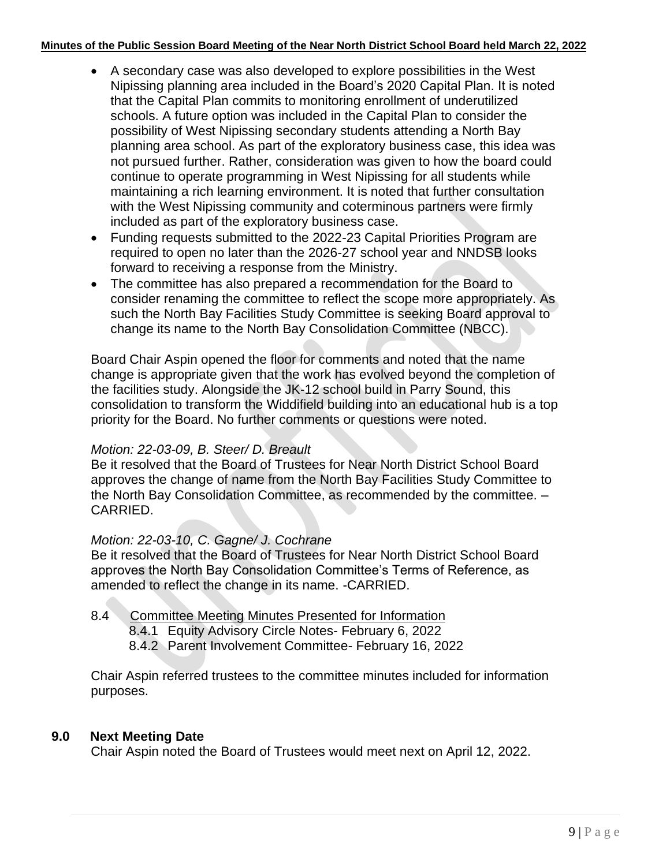- A secondary case was also developed to explore possibilities in the West Nipissing planning area included in the Board's 2020 Capital Plan. It is noted that the Capital Plan commits to monitoring enrollment of underutilized schools. A future option was included in the Capital Plan to consider the possibility of West Nipissing secondary students attending a North Bay planning area school. As part of the exploratory business case, this idea was not pursued further. Rather, consideration was given to how the board could continue to operate programming in West Nipissing for all students while maintaining a rich learning environment. It is noted that further consultation with the West Nipissing community and coterminous partners were firmly included as part of the exploratory business case.
- Funding requests submitted to the 2022-23 Capital Priorities Program are required to open no later than the 2026-27 school year and NNDSB looks forward to receiving a response from the Ministry.
- The committee has also prepared a recommendation for the Board to consider renaming the committee to reflect the scope more appropriately. As such the North Bay Facilities Study Committee is seeking Board approval to change its name to the North Bay Consolidation Committee (NBCC).

Board Chair Aspin opened the floor for comments and noted that the name change is appropriate given that the work has evolved beyond the completion of the facilities study. Alongside the JK-12 school build in Parry Sound, this consolidation to transform the Widdifield building into an educational hub is a top priority for the Board. No further comments or questions were noted.

## *Motion: 22-03-09, B. Steer/ D. Breault*

Be it resolved that the Board of Trustees for Near North District School Board approves the change of name from the North Bay Facilities Study Committee to the North Bay Consolidation Committee, as recommended by the committee. – CARRIED.

## *Motion: 22-03-10, C. Gagne/ J. Cochrane*

Be it resolved that the Board of Trustees for Near North District School Board approves the North Bay Consolidation Committee's Terms of Reference, as amended to reflect the change in its name. -CARRIED.

- 8.4 Committee Meeting Minutes Presented for Information
	- 8.4.1 Equity Advisory Circle Notes- February 6, 2022

8.4.2 Parent Involvement Committee- February 16, 2022

Chair Aspin referred trustees to the committee minutes included for information purposes.

## **9.0 Next Meeting Date**

Chair Aspin noted the Board of Trustees would meet next on April 12, 2022.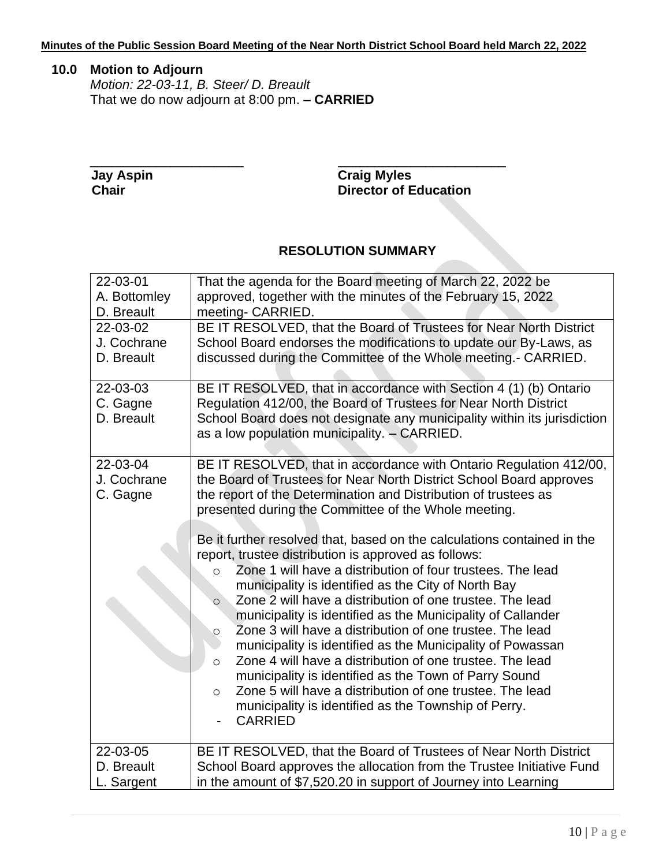# **10.0 Motion to Adjourn**

*Motion: 22-03-11, B. Steer/ D. Breault* That we do now adjourn at 8:00 pm. **– CARRIED**

\_\_\_\_\_\_\_\_\_\_\_\_\_\_\_\_\_\_\_\_\_ \_\_\_\_\_\_\_\_\_\_\_\_\_\_\_\_\_\_\_\_\_\_\_  **Jay Aspin Craig Myles Director of Education** 

## **RESOLUTION SUMMARY**

| 22-03-01<br>A. Bottomley              | That the agenda for the Board meeting of March 22, 2022 be<br>approved, together with the minutes of the February 15, 2022                                                                                                                                                                                                                                                                                                                                                                                                                                                                                                                                                                                                                                                                                                                                                                                                                                                                                                                                                                          |
|---------------------------------------|-----------------------------------------------------------------------------------------------------------------------------------------------------------------------------------------------------------------------------------------------------------------------------------------------------------------------------------------------------------------------------------------------------------------------------------------------------------------------------------------------------------------------------------------------------------------------------------------------------------------------------------------------------------------------------------------------------------------------------------------------------------------------------------------------------------------------------------------------------------------------------------------------------------------------------------------------------------------------------------------------------------------------------------------------------------------------------------------------------|
| D. Breault                            | meeting- CARRIED.                                                                                                                                                                                                                                                                                                                                                                                                                                                                                                                                                                                                                                                                                                                                                                                                                                                                                                                                                                                                                                                                                   |
| 22-03-02<br>J. Cochrane<br>D. Breault | BE IT RESOLVED, that the Board of Trustees for Near North District<br>School Board endorses the modifications to update our By-Laws, as<br>discussed during the Committee of the Whole meeting.- CARRIED.                                                                                                                                                                                                                                                                                                                                                                                                                                                                                                                                                                                                                                                                                                                                                                                                                                                                                           |
| 22-03-03<br>C. Gagne<br>D. Breault    | BE IT RESOLVED, that in accordance with Section 4 (1) (b) Ontario<br>Regulation 412/00, the Board of Trustees for Near North District<br>School Board does not designate any municipality within its jurisdiction<br>as a low population municipality. - CARRIED.                                                                                                                                                                                                                                                                                                                                                                                                                                                                                                                                                                                                                                                                                                                                                                                                                                   |
| 22-03-04<br>J. Cochrane<br>C. Gagne   | BE IT RESOLVED, that in accordance with Ontario Regulation 412/00,<br>the Board of Trustees for Near North District School Board approves<br>the report of the Determination and Distribution of trustees as<br>presented during the Committee of the Whole meeting.<br>Be it further resolved that, based on the calculations contained in the<br>report, trustee distribution is approved as follows:<br>Zone 1 will have a distribution of four trustees. The lead<br>$\circ$<br>municipality is identified as the City of North Bay<br>Zone 2 will have a distribution of one trustee. The lead<br>$\circ$<br>municipality is identified as the Municipality of Callander<br>Zone 3 will have a distribution of one trustee. The lead<br>$\circ$<br>municipality is identified as the Municipality of Powassan<br>Zone 4 will have a distribution of one trustee. The lead<br>$\circ$<br>municipality is identified as the Town of Parry Sound<br>Zone 5 will have a distribution of one trustee. The lead<br>$\circ$<br>municipality is identified as the Township of Perry.<br><b>CARRIED</b> |
| 22-03-05<br>D. Breault                | BE IT RESOLVED, that the Board of Trustees of Near North District                                                                                                                                                                                                                                                                                                                                                                                                                                                                                                                                                                                                                                                                                                                                                                                                                                                                                                                                                                                                                                   |
| L. Sargent                            | School Board approves the allocation from the Trustee Initiative Fund<br>in the amount of \$7,520.20 in support of Journey into Learning                                                                                                                                                                                                                                                                                                                                                                                                                                                                                                                                                                                                                                                                                                                                                                                                                                                                                                                                                            |